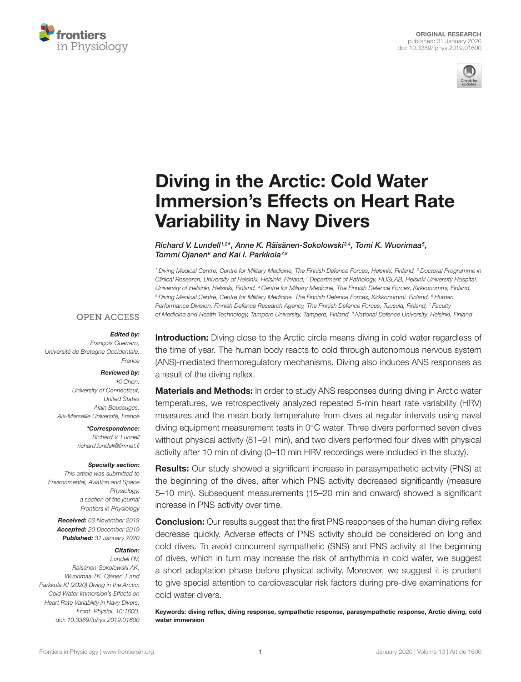



# Diving in the Arctic: Cold Water [Immersion's Effects on Heart Rate](https://www.frontiersin.org/articles/10.3389/fphys.2019.01600/full) Variability in Navy Divers

[Richard V. Lundell](http://loop.frontiersin.org/people/840254/overview)<sup>1,2\*</sup>, Anne K. Räisänen-Sokolowski<sup>3,4</sup>, Tomi K. Wuorimaa<sup>5</sup>, [Tommi Ojanen](http://loop.frontiersin.org/people/600376/overview)<sup>6</sup> and [Kai I. Parkkola](http://loop.frontiersin.org/people/842543/overview)<sup>7,8</sup>

<sup>1</sup> Diving Medical Centre, Centre for Military Medicine, The Finnish Defence Forces, Helsinki, Finland, <sup>2</sup> Doctoral Programme in Clinical Research, University of Helsinki, Helsinki, Finland, <sup>3</sup> Department of Pathology, HUSLAB, Helsinki University Hospital, University of Helsinki, Helsinki, Finland, <sup>4</sup> Centre for Military Medicine, The Finnish Defence Forces, Kirkkonummi, Finland, <sup>5</sup> Diving Medical Centre, Centre for Military Medicine, The Finnish Defence Forces, Kirkkonummi, Finland, <sup>6</sup> Human Performance Division, Finnish Defence Research Agency, The Finnish Defence Forces, Tuusula, Finland, 7 Faculty of Medicine and Health Technology, Tampere University, Tampere, Finland, <sup>8</sup> National Defence University, Helsinki, Finland

#### **OPEN ACCESS**

#### Edited by:

François Guerrero, Université de Bretagne Occidentale, France

#### Reviewed by:

Ki Chon, University of Connecticut, United States Alain Boussuges, Aix-Marseille Université, France

> \*Correspondence: Richard V. Lundell richard.lundell@fimnet.fi

#### Specialty section:

This article was submitted to Environmental, Aviation and Space Physiology, a section of the journal Frontiers in Physiology

Received: 03 November 2019 Accepted: 20 December 2019 Published: 31 January 2020

#### Citation:

Lundell RV, Räisänen-Sokolowski AK, Wuorimaa TK, Ojanen T and Parkkola KI (2020) Diving in the Arctic: Cold Water Immersion's Effects on Heart Rate Variability in Navy Divers. Front. Physiol. 10:1600. doi: [10.3389/fphys.2019.01600](https://doi.org/10.3389/fphys.2019.01600) **Introduction:** Diving close to the Arctic circle means diving in cold water regardless of the time of year. The human body reacts to cold through autonomous nervous system (ANS)-mediated thermoregulatory mechanisms. Diving also induces ANS responses as a result of the diving reflex.

**Materials and Methods:** In order to study ANS responses during diving in Arctic water temperatures, we retrospectively analyzed repeated 5-min heart rate variability (HRV) measures and the mean body temperature from dives at regular intervals using naval diving equipment measurement tests in 0◦C water. Three divers performed seven dives without physical activity (81–91 min), and two divers performed four dives with physical activity after 10 min of diving (0–10 min HRV recordings were included in the study).

Results: Our study showed a significant increase in parasympathetic activity (PNS) at the beginning of the dives, after which PNS activity decreased significantly (measure 5–10 min). Subsequent measurements (15–20 min and onward) showed a significant increase in PNS activity over time.

**Conclusion:** Our results suggest that the first PNS responses of the human diving reflex decrease quickly. Adverse effects of PNS activity should be considered on long and cold dives. To avoid concurrent sympathetic (SNS) and PNS activity at the beginning of dives, which in turn may increase the risk of arrhythmia in cold water, we suggest a short adaptation phase before physical activity. Moreover, we suggest it is prudent to give special attention to cardiovascular risk factors during pre-dive examinations for cold water divers.

Keywords: diving reflex, diving response, sympathetic response, parasympathetic response, Arctic diving, cold water immersion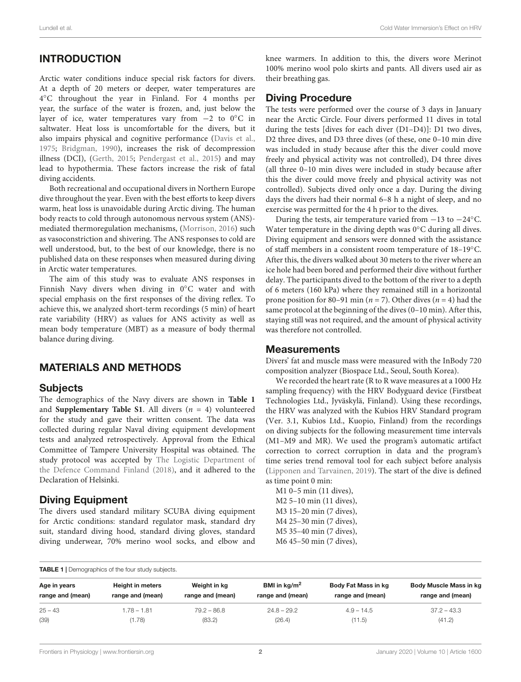# INTRODUCTION

Arctic water conditions induce special risk factors for divers. At a depth of 20 meters or deeper, water temperatures are 4 ◦C throughout the year in Finland. For 4 months per year, the surface of the water is frozen, and, just below the layer of ice, water temperatures vary from −2 to 0◦C in saltwater. Heat loss is uncomfortable for the divers, but it also impairs physical and cognitive performance [\(Davis et al.,](#page-6-0) [1975;](#page-6-0) [Bridgman, 1990\)](#page-6-1), increases the risk of decompression illness (DCI), [\(Gerth, 2015;](#page-6-2) [Pendergast et al., 2015\)](#page-7-0) and may lead to hypothermia. These factors increase the risk of fatal diving accidents.

Both recreational and occupational divers in Northern Europe dive throughout the year. Even with the best efforts to keep divers warm, heat loss is unavoidable during Arctic diving. The human body reacts to cold through autonomous nervous system (ANS) mediated thermoregulation mechanisms, [\(Morrison, 2016\)](#page-7-1) such as vasoconstriction and shivering. The ANS responses to cold are well understood, but, to the best of our knowledge, there is no published data on these responses when measured during diving in Arctic water temperatures.

The aim of this study was to evaluate ANS responses in Finnish Navy divers when diving in 0◦C water and with special emphasis on the first responses of the diving reflex. To achieve this, we analyzed short-term recordings (5 min) of heart rate variability (HRV) as values for ANS activity as well as mean body temperature (MBT) as a measure of body thermal balance during diving.

## MATERIALS AND METHODS

#### Subjects

The demographics of the Navy divers are shown in **[Table 1](#page-1-0)** and **[Supplementary Table S1](#page-6-3)**. All divers  $(n = 4)$  volunteered for the study and gave their written consent. The data was collected during regular Naval diving equipment development tests and analyzed retrospectively. Approval from the Ethical Committee of Tampere University Hospital was obtained. The study protocol was accepted by [The Logistic Department of](#page-7-2) [the Defence Command Finland](#page-7-2) [\(2018\)](#page-7-2), and it adhered to the Declaration of Helsinki.

#### Diving Equipment

The divers used standard military SCUBA diving equipment for Arctic conditions: standard regulator mask, standard dry suit, standard diving hood, standard diving gloves, standard diving underwear, 70% merino wool socks, and elbow and

knee warmers. In addition to this, the divers wore Merinot 100% merino wool polo skirts and pants. All divers used air as their breathing gas.

## Diving Procedure

The tests were performed over the course of 3 days in January near the Arctic Circle. Four divers performed 11 dives in total during the tests [dives for each diver (D1–D4)]: D1 two dives, D2 three dives, and D3 three dives (of these, one 0–10 min dive was included in study because after this the diver could move freely and physical activity was not controlled), D4 three dives (all three 0–10 min dives were included in study because after this the diver could move freely and physical activity was not controlled). Subjects dived only once a day. During the diving days the divers had their normal 6–8 h a night of sleep, and no exercise was permitted for the 4 h prior to the dives.

During the tests, air temperature varied from −13 to −24◦C. Water temperature in the diving depth was 0◦C during all dives. Diving equipment and sensors were donned with the assistance of staff members in a consistent room temperature of 18–19◦C. After this, the divers walked about 30 meters to the river where an ice hole had been bored and performed their dive without further delay. The participants dived to the bottom of the river to a depth of 6 meters (160 kPa) where they remained still in a horizontal prone position for 80–91 min ( $n = 7$ ). Other dives ( $n = 4$ ) had the same protocol at the beginning of the dives (0–10 min). After this, staying still was not required, and the amount of physical activity was therefore not controlled.

#### **Measurements**

Divers' fat and muscle mass were measured with the InBody 720 composition analyzer (Biospace Ltd., Seoul, South Korea).

We recorded the heart rate (R to R wave measures at a 1000 Hz sampling frequency) with the HRV Bodyguard device (Firstbeat Technologies Ltd., Jyväskylä, Finland). Using these recordings, the HRV was analyzed with the Kubios HRV Standard program (Ver. 3.1, Kubios Ltd., Kuopio, Finland) from the recordings on diving subjects for the following measurement time intervals (M1–M9 and MR). We used the program's automatic artifact correction to correct corruption in data and the program's time series trend removal tool for each subject before analysis [\(Lipponen and Tarvainen, 2019\)](#page-7-3). The start of the dive is defined as time point 0 min:

M1 0–5 min (11 dives), M2 5–10 min (11 dives), M3 15–20 min (7 dives), M4 25–30 min (7 dives), M5 35–40 min (7 dives), M6 45–50 min (7 dives),

| Age in years<br>range and (mean) | Height in meters<br>range and (mean) | Weight in kg<br>range and (mean) | BMI in $\text{kg/m}^2$<br>range and (mean) | Body Fat Mass in kg<br>range and (mean) | Body Muscle Mass in kg<br>range and (mean) |
|----------------------------------|--------------------------------------|----------------------------------|--------------------------------------------|-----------------------------------------|--------------------------------------------|
|                                  |                                      |                                  |                                            |                                         |                                            |
| (39)                             | (1.78)                               | (83.2)                           | (26.4)                                     | (11.5)                                  | (41.2)                                     |

<span id="page-1-0"></span>TABLE 1 | Demographics of the four study subjects.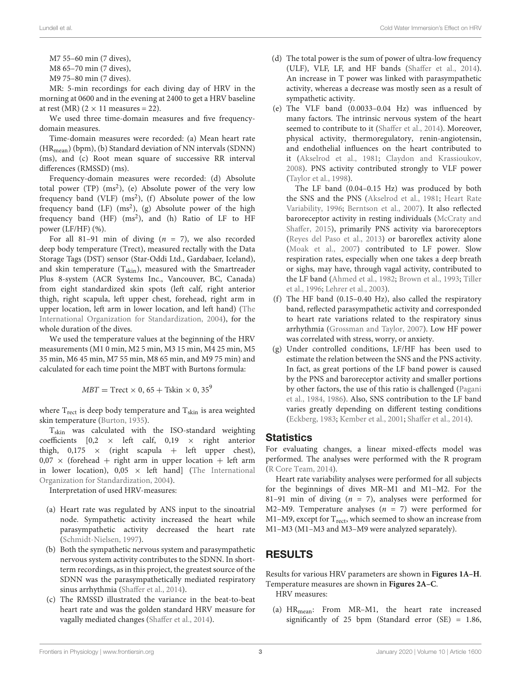M7 55–60 min (7 dives),

M8 65–70 min (7 dives),

M9 75–80 min (7 dives).

MR: 5-min recordings for each diving day of HRV in the morning at 0600 and in the evening at 2400 to get a HRV baseline at rest (MR) ( $2 \times 11$  measures = 22).

We used three time-domain measures and five frequencydomain measures.

Time-domain measures were recorded: (a) Mean heart rate (HRmean) (bpm), (b) Standard deviation of NN intervals (SDNN) (ms), and (c) Root mean square of successive RR interval differences (RMSSD) (ms).

Frequency-domain measures were recorded: (d) Absolute total power (TP) (ms<sup>2</sup>), (e) Absolute power of the very low frequency band (VLF) (ms<sup>2</sup>), (f) Absolute power of the low frequency band (LF)  $(ms^2)$ , (g) Absolute power of the high frequency band (HF) (ms<sup>2</sup>), and (h) Ratio of LF to HF power (LF/HF) (%).

For all 81–91 min of diving  $(n = 7)$ , we also recorded deep body temperature (Trect), measured rectally with the Data Storage Tags (DST) sensor (Star-Oddi Ltd., Gardabaer, Iceland), and skin temperature  $(T_{skin})$ , measured with the Smartreader Plus 8-system (ACR Systems Inc., Vancouver, BC, Canada) from eight standardized skin spots (left calf, right anterior thigh, right scapula, left upper chest, forehead, right arm in upper location, left arm in lower location, and left hand) [\(The](#page-7-4) [International Organization for Standardization, 2004\)](#page-7-4), for the whole duration of the dives.

We used the temperature values at the beginning of the HRV measurements (M1 0 min, M2 5 min, M3 15 min, M4 25 min, M5 35 min, M6 45 min, M7 55 min, M8 65 min, and M9 75 min) and calculated for each time point the MBT with Burtons formula:

 $MBT = \text{Trect} \times 0, 65 + \text{Tskin} \times 0, 35^9$ 

where  $T_{rect}$  is deep body temperature and  $T_{skin}$  is area weighted skin temperature [\(Burton, 1935\)](#page-6-4).

Tskin was calculated with the ISO-standard weighting coefficients  $[0,2 \times \text{left calf, } 0,19 \times \text{right anterior}$ thigh,  $0,175 \times$  (right scapula + left upper chest),  $0.07 \times$  (forehead + right arm in upper location + left arm in lower location),  $0.05 \times$  left hand] [\(The International](#page-7-4) [Organization for Standardization, 2004\)](#page-7-4).

Interpretation of used HRV-measures:

- (a) Heart rate was regulated by ANS input to the sinoatrial node. Sympathetic activity increased the heart while parasympathetic activity decreased the heart rate [\(Schmidt-Nielsen, 1997\)](#page-7-5).
- (b) Both the sympathetic nervous system and parasympathetic nervous system activity contributes to the SDNN. In shortterm recordings, as in this project, the greatest source of the SDNN was the parasympathetically mediated respiratory sinus arrhythmia [\(Shaffer et al., 2014\)](#page-7-6).
- (c) The RMSSD illustrated the variance in the beat-to-beat heart rate and was the golden standard HRV measure for vagally mediated changes [\(Shaffer et al., 2014\)](#page-7-6).
- (d) The total power is the sum of power of ultra-low frequency (ULF), VLF, LF, and HF bands [\(Shaffer et al., 2014\)](#page-7-6). An increase in T power was linked with parasympathetic activity, whereas a decrease was mostly seen as a result of sympathetic activity.
- (e) The VLF band (0.0033–0.04 Hz) was influenced by many factors. The intrinsic nervous system of the heart seemed to contribute to it [\(Shaffer et al., 2014\)](#page-7-6). Moreover, physical activity, thermoregulatory, renin-angiotensin, and endothelial influences on the heart contributed to it [\(Akselrod et al., 1981;](#page-6-5) [Claydon and Krassioukov,](#page-6-6) [2008\)](#page-6-6). PNS activity contributed strongly to VLF power [\(Taylor et al., 1998\)](#page-7-7).

The LF band (0.04–0.15 Hz) was produced by both the SNS and the PNS [\(Akselrod et al., 1981;](#page-6-5) [Heart Rate](#page-6-7) [Variability, 1996;](#page-6-7) [Berntson et al., 2007\)](#page-6-8). It also reflected baroreceptor activity in resting individuals [\(McCraty and](#page-7-8) [Shaffer, 2015\)](#page-7-8), primarily PNS activity via baroreceptors [\(Reyes del Paso et al., 2013\)](#page-7-9) or baroreflex activity alone [\(Moak et al., 2007\)](#page-7-10) contributed to LF power. Slow respiration rates, especially when one takes a deep breath or sighs, may have, through vagal activity, contributed to the LF band [\(Ahmed et al., 1982;](#page-6-9) [Brown et al., 1993;](#page-6-10) [Tiller](#page-7-11) [et al., 1996;](#page-7-11) [Lehrer et al., 2003\)](#page-7-12).

- (f) The HF band (0.15–0.40 Hz), also called the respiratory band, reflected parasympathetic activity and corresponded to heart rate variations related to the respiratory sinus arrhythmia [\(Grossman and Taylor, 2007\)](#page-6-11). Low HF power was correlated with stress, worry, or anxiety.
- (g) Under controlled conditions, LF/HF has been used to estimate the relation between the SNS and the PNS activity. In fact, as great portions of the LF band power is caused by the PNS and baroreceptor activity and smaller portions by other factors, the use of this ratio is challenged [\(Pagani](#page-7-13) [et al., 1984,](#page-7-13) [1986\)](#page-7-14). Also, SNS contribution to the LF band varies greatly depending on different testing conditions [\(Eckberg, 1983;](#page-6-12) [Kember et al., 2001;](#page-6-13) [Shaffer et al., 2014\)](#page-7-6).

## **Statistics**

For evaluating changes, a linear mixed-effects model was performed. The analyses were performed with the R program [\(R Core Team, 2014\)](#page-7-15).

Heart rate variability analyses were performed for all subjects for the beginnings of dives MR–M1 and M1–M2. For the 81–91 min of diving  $(n = 7)$ , analyses were performed for M2–M9. Temperature analyses ( $n = 7$ ) were performed for M1–M9, except for Trect, which seemed to show an increase from M1–M3 (M1–M3 and M3–M9 were analyzed separately).

# RESULTS

Results for various HRV parameters are shown in **[Figures 1A–H](#page-3-0)**. Temperature measures are shown in **[Figures 2A–C](#page-4-0)**.

HRV measures:

(a) HRmean: From MR–M1, the heart rate increased significantly of 25 bpm (Standard error (SE) = 1.86,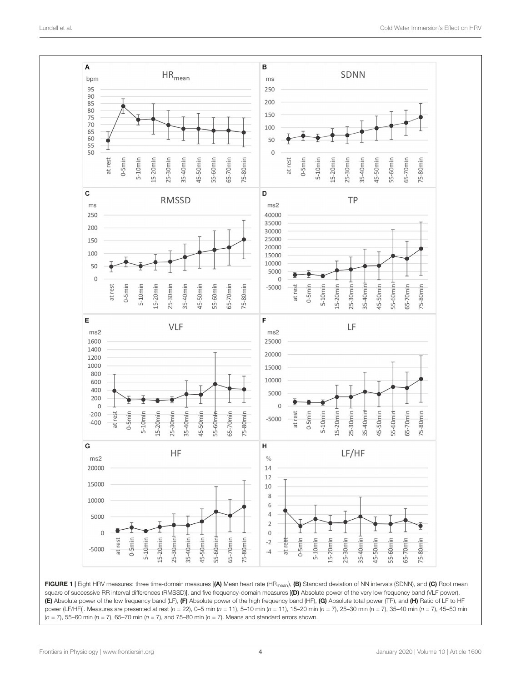

<span id="page-3-0"></span>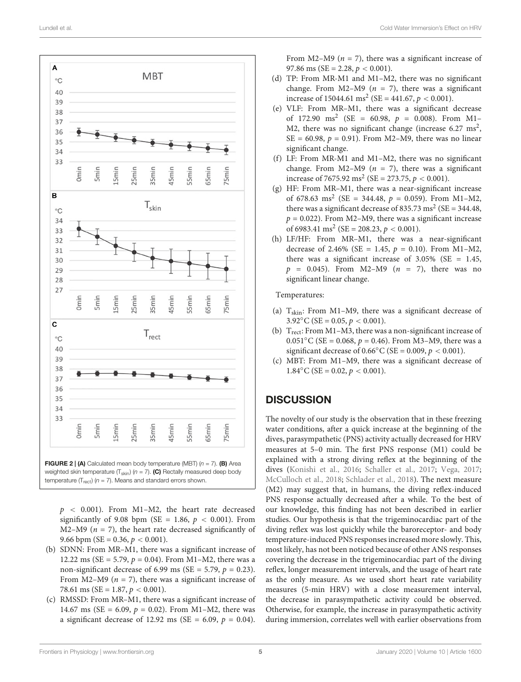

<span id="page-4-0"></span> $p \sim 0.001$ ). From M1-M2, the heart rate decreased significantly of 9.08 bpm (SE = 1.86,  $p < 0.001$ ). From M2–M9 ( $n = 7$ ), the heart rate decreased significantly of 9.66 bpm (SE = 0.36,  $p < 0.001$ ).

- (b) SDNN: From MR–M1, there was a significant increase of 12.22 ms (SE = 5.79,  $p = 0.04$ ). From M1–M2, there was a non-significant decrease of 6.99 ms (SE = 5.79,  $p = 0.23$ ). From M2–M9 ( $n = 7$ ), there was a significant increase of 78.61 ms (SE = 1.87,  $p < 0.001$ ).
- (c) RMSSD: From MR–M1, there was a significant increase of 14.67 ms (SE = 6.09,  $p = 0.02$ ). From M1-M2, there was a significant decrease of 12.92 ms (SE = 6.09,  $p = 0.04$ ).

From M2–M9 ( $n = 7$ ), there was a significant increase of 97.86 ms (SE = 2.28,  $p < 0.001$ ).

- (d) TP: From MR-M1 and M1–M2, there was no significant change. From M2–M9 ( $n = 7$ ), there was a significant increase of 15044.61 ms<sup>2</sup> (SE = 441.67,  $p < 0.001$ ).
- (e) VLF: From MR–M1, there was a significant decrease of 172.90 ms<sup>2</sup> (SE = 60.98,  $p = 0.008$ ). From M1-M2, there was no significant change (increase  $6.27 \text{ ms}^2$ ,  $SE = 60.98$ ,  $p = 0.91$ . From M2–M9, there was no linear significant change.
- (f) LF: From MR-M1 and M1–M2, there was no significant change. From M2–M9 ( $n = 7$ ), there was a significant increase of 7675.92 ms<sup>2</sup> (SE = 273.75,  $p < 0.001$ ).
- (g) HF: From MR–M1, there was a near-significant increase of 678.63 ms<sup>2</sup> (SE = 344.48,  $p = 0.059$ ). From M1-M2, there was a significant decrease of 835.73 ms<sup>2</sup> (SE = 344.48,  $p = 0.022$ ). From M2–M9, there was a significant increase of 6983.41 ms<sup>2</sup> (SE = 208.23,  $p < 0.001$ ).
- (h) LF/HF: From MR–M1, there was a near-significant decrease of 2.46% (SE = 1.45,  $p = 0.10$ ). From M1-M2, there was a significant increase of  $3.05\%$  (SE = 1.45,  $p = 0.045$ . From M2-M9 ( $n = 7$ ), there was no significant linear change.

Temperatures:

- (a)  $T_{skin}$ : From M1–M9, there was a significant decrease of  $3.92^{\circ}$ C (SE = 0.05,  $p < 0.001$ ).
- (b)  $T_{rect}$ : From M1–M3, there was a non-significant increase of 0.051 $^{\circ}$ C (SE = 0.068, p = 0.46). From M3–M9, there was a significant decrease of  $0.66 °C$  (SE = 0.009,  $p < 0.001$ ).
- (c) MBT: From M1–M9, there was a significant decrease of 1.84 $\textdegree$ C (SE = 0.02,  $p < 0.001$ ).

#### **DISCUSSION**

The novelty of our study is the observation that in these freezing water conditions, after a quick increase at the beginning of the dives, parasympathetic (PNS) activity actually decreased for HRV measures at 5–0 min. The first PNS response (M1) could be explained with a strong diving reflex at the beginning of the dives [\(Konishi et al., 2016;](#page-7-16) [Schaller et al., 2017;](#page-7-17) [Vega, 2017;](#page-7-18) [McCulloch et al., 2018;](#page-7-19) [Schlader et al., 2018\)](#page-7-20). The next measure (M2) may suggest that, in humans, the diving reflex-induced PNS response actually decreased after a while. To the best of our knowledge, this finding has not been described in earlier studies. Our hypothesis is that the trigeminocardiac part of the diving reflex was lost quickly while the baroreceptor- and body temperature-induced PNS responses increased more slowly. This, most likely, has not been noticed because of other ANS responses covering the decrease in the trigeminocardiac part of the diving reflex, longer measurement intervals, and the usage of heart rate as the only measure. As we used short heart rate variability measures (5-min HRV) with a close measurement interval, the decrease in parasympathetic activity could be observed. Otherwise, for example, the increase in parasympathetic activity during immersion, correlates well with earlier observations from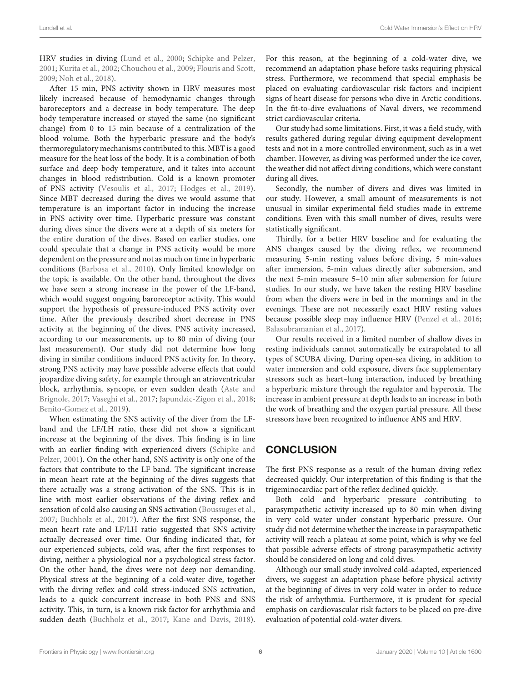HRV studies in diving [\(Lund et al., 2000;](#page-7-21) [Schipke and Pelzer,](#page-7-22) [2001;](#page-7-22) [Kurita et al., 2002;](#page-7-23) [Chouchou et al., 2009;](#page-6-14) [Flouris and Scott,](#page-6-15) [2009;](#page-6-15) [Noh et al., 2018\)](#page-7-24).

After 15 min, PNS activity shown in HRV measures most likely increased because of hemodynamic changes through baroreceptors and a decrease in body temperature. The deep body temperature increased or stayed the same (no significant change) from 0 to 15 min because of a centralization of the blood volume. Both the hyperbaric pressure and the body's thermoregulatory mechanisms contributed to this. MBT is a good measure for the heat loss of the body. It is a combination of both surface and deep body temperature, and it takes into account changes in blood redistribution. Cold is a known promoter of PNS activity [\(Vesoulis et al., 2017;](#page-7-25) [Hodges et al., 2019\)](#page-6-16). Since MBT decreased during the dives we would assume that temperature is an important factor in inducing the increase in PNS activity over time. Hyperbaric pressure was constant during dives since the divers were at a depth of six meters for the entire duration of the dives. Based on earlier studies, one could speculate that a change in PNS activity would be more dependent on the pressure and not as much on time in hyperbaric conditions [\(Barbosa et al., 2010\)](#page-6-17). Only limited knowledge on the topic is available. On the other hand, throughout the dives we have seen a strong increase in the power of the LF-band, which would suggest ongoing baroreceptor activity. This would support the hypothesis of pressure-induced PNS activity over time. After the previously described short decrease in PNS activity at the beginning of the dives, PNS activity increased, according to our measurements, up to 80 min of diving (our last measurement). Our study did not determine how long diving in similar conditions induced PNS activity for. In theory, strong PNS activity may have possible adverse effects that could jeopardize diving safety, for example through an atrioventricular block, arrhythmia, syncope, or even sudden death [\(Aste and](#page-6-18) [Brignole, 2017;](#page-6-18) [Vaseghi et al., 2017;](#page-7-26) [Japundzic-Zigon et al., 2018;](#page-6-19) [Benito-Gomez et al., 2019\)](#page-6-20).

When estimating the SNS activity of the diver from the LFband and the LF/LH ratio, these did not show a significant increase at the beginning of the dives. This finding is in line with an earlier finding with experienced divers [\(Schipke and](#page-7-22) [Pelzer, 2001\)](#page-7-22). On the other hand, SNS activity is only one of the factors that contribute to the LF band. The significant increase in mean heart rate at the beginning of the dives suggests that there actually was a strong activation of the SNS. This is in line with most earlier observations of the diving reflex and sensation of cold also causing an SNS activation [\(Boussuges et al.,](#page-6-21) [2007;](#page-6-21) [Buchholz et al., 2017\)](#page-6-22). After the first SNS response, the mean heart rate and LF/LH ratio suggested that SNS activity actually decreased over time. Our finding indicated that, for our experienced subjects, cold was, after the first responses to diving, neither a physiological nor a psychological stress factor. On the other hand, the dives were not deep nor demanding. Physical stress at the beginning of a cold-water dive, together with the diving reflex and cold stress-induced SNS activation, leads to a quick concurrent increase in both PNS and SNS activity. This, in turn, is a known risk factor for arrhythmia and sudden death [\(Buchholz et al., 2017;](#page-6-22) [Kane and Davis, 2018\)](#page-6-23).

For this reason, at the beginning of a cold-water dive, we recommend an adaptation phase before tasks requiring physical stress. Furthermore, we recommend that special emphasis be placed on evaluating cardiovascular risk factors and incipient signs of heart disease for persons who dive in Arctic conditions. In the fit-to-dive evaluations of Naval divers, we recommend strict cardiovascular criteria.

Our study had some limitations. First, it was a field study, with results gathered during regular diving equipment development tests and not in a more controlled environment, such as in a wet chamber. However, as diving was performed under the ice cover, the weather did not affect diving conditions, which were constant during all dives.

Secondly, the number of divers and dives was limited in our study. However, a small amount of measurements is not unusual in similar experimental field studies made in extreme conditions. Even with this small number of dives, results were statistically significant.

Thirdly, for a better HRV baseline and for evaluating the ANS changes caused by the diving reflex, we recommend measuring 5-min resting values before diving, 5 min-values after immersion, 5-min values directly after submersion, and the next 5-min measure 5–10 min after submersion for future studies. In our study, we have taken the resting HRV baseline from when the divers were in bed in the mornings and in the evenings. These are not necessarily exact HRV resting values because possible sleep may influence HRV [\(Penzel et al., 2016;](#page-7-27) [Balasubramanian et al., 2017\)](#page-6-24).

Our results received in a limited number of shallow dives in resting individuals cannot automatically be extrapolated to all types of SCUBA diving. During open-sea diving, in addition to water immersion and cold exposure, divers face supplementary stressors such as heart–lung interaction, induced by breathing a hyperbaric mixture through the regulator and hyperoxia. The increase in ambient pressure at depth leads to an increase in both the work of breathing and the oxygen partial pressure. All these stressors have been recognized to influence ANS and HRV.

# **CONCLUSION**

The first PNS response as a result of the human diving reflex decreased quickly. Our interpretation of this finding is that the trigeminocardiac part of the reflex declined quickly.

Both cold and hyperbaric pressure contributing to parasympathetic activity increased up to 80 min when diving in very cold water under constant hyperbaric pressure. Our study did not determine whether the increase in parasympathetic activity will reach a plateau at some point, which is why we feel that possible adverse effects of strong parasympathetic activity should be considered on long and cold dives.

Although our small study involved cold-adapted, experienced divers, we suggest an adaptation phase before physical activity at the beginning of dives in very cold water in order to reduce the risk of arrhythmia. Furthermore, it is prudent for special emphasis on cardiovascular risk factors to be placed on pre-dive evaluation of potential cold-water divers.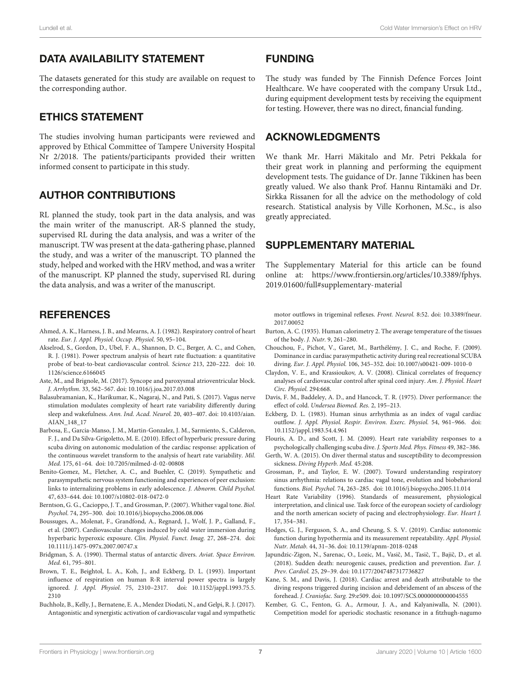# DATA AVAILABILITY STATEMENT

The datasets generated for this study are available on request to the corresponding author.

# ETHICS STATEMENT

The studies involving human participants were reviewed and approved by Ethical Committee of Tampere University Hospital Nr 2/2018. The patients/participants provided their written informed consent to participate in this study.

# AUTHOR CONTRIBUTIONS

RL planned the study, took part in the data analysis, and was the main writer of the manuscript. AR-S planned the study, supervised RL during the data analysis, and was a writer of the manuscript. TW was present at the data-gathering phase, planned the study, and was a writer of the manuscript. TO planned the study, helped and worked with the HRV method, and was a writer of the manuscript. KP planned the study, supervised RL during the data analysis, and was a writer of the manuscript.

# **REFERENCES**

- <span id="page-6-9"></span>Ahmed, A. K., Harness, J. B., and Mearns, A. J. (1982). Respiratory control of heart rate. Eur. J. Appl. Physiol. Occup. Physiol. 50, 95–104.
- <span id="page-6-5"></span>Akselrod, S., Gordon, D., Ubel, F. A., Shannon, D. C., Berger, A. C., and Cohen, R. J. (1981). Power spectrum analysis of heart rate fluctuation: a quantitative probe of beat-to-beat cardiovascular control. Science 213, 220–222. [doi: 10.](https://doi.org/10.1126/science.6166045) [1126/science.6166045](https://doi.org/10.1126/science.6166045)
- <span id="page-6-18"></span>Aste, M., and Brignole, M. (2017). Syncope and paroxysmal atrioventricular block. J. Arrhythm. 33, 562–567. [doi: 10.1016/j.joa.2017.03.008](https://doi.org/10.1016/j.joa.2017.03.008)
- <span id="page-6-24"></span>Balasubramanian, K., Harikumar, K., Nagaraj, N., and Pati, S. (2017). Vagus nerve stimulation modulates complexity of heart rate variability differently during sleep and wakefulness. Ann. Ind. Acad. Neurol. 20, 403–407. [doi: 10.4103/aian.](https://doi.org/10.4103/aian.AIAN_148_17) [AIAN\\_148\\_17](https://doi.org/10.4103/aian.AIAN_148_17)
- <span id="page-6-17"></span>Barbosa, E., Garcia-Manso, J. M., Martin-Gonzalez, J. M., Sarmiento, S., Calderon, F. J., and Da Silva-Grigoletto, M. E. (2010). Effect of hyperbaric pressure during scuba diving on autonomic modulation of the cardiac response: application of the continuous wavelet transform to the analysis of heart rate variability. Mil. Med. 175, 61–64. [doi: 10.7205/milmed-d-02-00808](https://doi.org/10.7205/milmed-d-02-00808)
- <span id="page-6-20"></span>Benito-Gomez, M., Fletcher, A. C., and Buehler, C. (2019). Sympathetic and parasympathetic nervous system functioning and experiences of peer exclusion: links to internalizing problems in early adolescence. J. Abnorm. Child Psychol. 47, 633–644. [doi: 10.1007/s10802-018-0472-0](https://doi.org/10.1007/s10802-018-0472-0)
- <span id="page-6-8"></span>Berntson, G. G., Cacioppo, J. T., and Grossman, P. (2007). Whither vagal tone. Biol. Psychol. 74, 295–300. [doi: 10.1016/j.biopsycho.2006.08.006](https://doi.org/10.1016/j.biopsycho.2006.08.006)
- <span id="page-6-21"></span>Boussuges, A., Molenat, F., Grandfond, A., Regnard, J., Wolf, J. P., Galland, F., et al. (2007). Cardiovascular changes induced by cold water immersion during hyperbaric hyperoxic exposure. Clin. Physiol. Funct. Imag. 27, 268–274. [doi:](https://doi.org/10.1111/j.1475-097x.2007.00747.x) [10.1111/j.1475-097x.2007.00747.x](https://doi.org/10.1111/j.1475-097x.2007.00747.x)
- <span id="page-6-1"></span>Bridgman, S. A. (1990). Thermal status of antarctic divers. Aviat. Space Environ. Med. 61, 795–801.
- <span id="page-6-10"></span>Brown, T. E., Beightol, L. A., Koh, J., and Eckberg, D. L. (1993). Important influence of respiration on human R-R interval power spectra is largely ignored. J. Appl. Physiol. 75, 2310–2317. [doi: 10.1152/jappl.1993.75.5.](https://doi.org/10.1152/jappl.1993.75.5.2310) [2310](https://doi.org/10.1152/jappl.1993.75.5.2310)
- <span id="page-6-22"></span>Buchholz, B., Kelly, J., Bernatene, E. A., Mendez Diodati, N., and Gelpi, R. J. (2017). Antagonistic and synergistic activation of cardiovascular vagal and sympathetic

## FUNDING

The study was funded by The Finnish Defence Forces Joint Healthcare. We have cooperated with the company Ursuk Ltd., during equipment development tests by receiving the equipment for testing. However, there was no direct, financial funding.

## ACKNOWLEDGMENTS

We thank Mr. Harri Mäkitalo and Mr. Petri Pekkala for their great work in planning and performing the equipment development tests. The guidance of Dr. Janne Tikkinen has been greatly valued. We also thank Prof. Hannu Rintamäki and Dr. Sirkka Rissanen for all the advice on the methodology of cold research. Statistical analysis by Ville Korhonen, M.Sc., is also greatly appreciated.

# <span id="page-6-3"></span>SUPPLEMENTARY MATERIAL

The Supplementary Material for this article can be found online at: [https://www.frontiersin.org/articles/10.3389/fphys.](https://www.frontiersin.org/articles/10.3389/fphys.2019.01600/full#supplementary-material) [2019.01600/full#supplementary-material](https://www.frontiersin.org/articles/10.3389/fphys.2019.01600/full#supplementary-material)

motor outflows in trigeminal reflexes. Front. Neurol. 8:52. [doi: 10.3389/fneur.](https://doi.org/10.3389/fneur.2017.00052) [2017.00052](https://doi.org/10.3389/fneur.2017.00052)

- <span id="page-6-4"></span>Burton, A. C. (1935). Human calorimetry 2. The average temperature of the tissues of the body. J. Nutr. 9, 261–280.
- <span id="page-6-14"></span>Chouchou, F., Pichot, V., Garet, M., Barthélémy, J. C., and Roche, F. (2009). Dominance in cardiac parasympathetic activity during real recreational SCUBA diving. Eur. J. Appl. Physiol. 106, 345–352. [doi: 10.1007/s00421-009-1010-0](https://doi.org/10.1007/s00421-009-1010-0)
- <span id="page-6-6"></span>Claydon, V. E., and Krassioukov, A. V. (2008). Clinical correlates of frequency analyses of cardiovascular control after spinal cord injury. Am. J. Physiol. Heart Circ. Physiol. 294:668.
- <span id="page-6-0"></span>Davis, F. M., Baddeley, A. D., and Hancock, T. R. (1975). Diver performance: the effect of cold. Undersea Biomed. Res. 2, 195–213.
- <span id="page-6-12"></span>Eckberg, D. L. (1983). Human sinus arrhythmia as an index of vagal cardiac outflow. J. Appl. Physiol. Respir. Environ. Exerc. Physiol. 54, 961–966. [doi:](https://doi.org/10.1152/jappl.1983.54.4.961) [10.1152/jappl.1983.54.4.961](https://doi.org/10.1152/jappl.1983.54.4.961)

<span id="page-6-15"></span>Flouris, A. D., and Scott, J. M. (2009). Heart rate variability responses to a psychologically challenging scuba dive. J. Sports Med. Phys. Fitness 49, 382–386.

- <span id="page-6-2"></span>Gerth, W. A. (2015). On diver thermal status and susceptibility to decompression sickness. Diving Hyperb. Med. 45:208.
- <span id="page-6-11"></span>Grossman, P., and Taylor, E. W. (2007). Toward understanding respiratory sinus arrhythmia: relations to cardiac vagal tone, evolution and biobehavioral functions. Biol. Psychol. 74, 263–285. [doi: 10.1016/j.biopsycho.2005.11.014](https://doi.org/10.1016/j.biopsycho.2005.11.014)
- <span id="page-6-7"></span>Heart Rate Variability (1996). Standards of measurement, physiological interpretation, and clinical use. Task force of the european society of cardiology and the north american society of pacing and electrophysiology. Eur. Heart J. 17, 354–381.
- <span id="page-6-16"></span>Hodges, G. J., Ferguson, S. A., and Cheung, S. S. V. (2019). Cardiac autonomic function during hypothermia and its measurement repeatability. Appl. Physiol. Nutr. Metab. 44, 31–36. [doi: 10.1139/apnm-2018-0248](https://doi.org/10.1139/apnm-2018-0248)
- <span id="page-6-19"></span>Japundzic-Zigon, N., Sarenac, O., Lozic, M., Vasič, M., Tasič, T., Bajič, D., et al. (2018). Sudden death: neurogenic causes, prediction and prevention. Eur. J. Prev. Cardiol. 25, 29–39. [doi: 10.1177/2047487317736827](https://doi.org/10.1177/2047487317736827)
- <span id="page-6-23"></span>Kane, S. M., and Davis, J. (2018). Cardiac arrest and death attributable to the diving respons triggered during incision and debridement of an abscess of the forehead. J. Craniofac. Surg. 29:e509. [doi: 10.1097/SCS.0000000000004555](https://doi.org/10.1097/SCS.0000000000004555)
- <span id="page-6-13"></span>Kember, G. C., Fenton, G. A., Armour, J. A., and Kalyaniwalla, N. (2001). Competition model for aperiodic stochastic resonance in a fitzhugh-nagumo